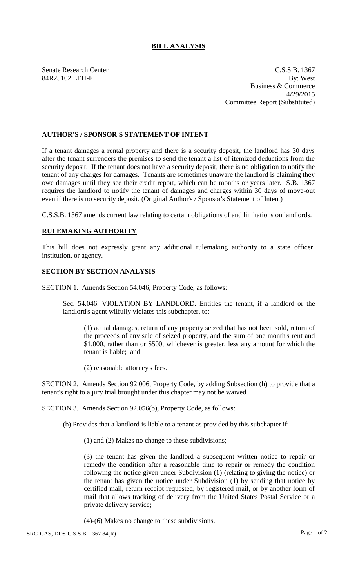## **BILL ANALYSIS**

Senate Research Center C.S.S.B. 1367 84R25102 LEH-F By: West Business & Commerce 4/29/2015 Committee Report (Substituted)

## **AUTHOR'S / SPONSOR'S STATEMENT OF INTENT**

If a tenant damages a rental property and there is a security deposit, the landlord has 30 days after the tenant surrenders the premises to send the tenant a list of itemized deductions from the security deposit. If the tenant does not have a security deposit, there is no obligation to notify the tenant of any charges for damages. Tenants are sometimes unaware the landlord is claiming they owe damages until they see their credit report, which can be months or years later. S.B. 1367 requires the landlord to notify the tenant of damages and charges within 30 days of move-out even if there is no security deposit. (Original Author's / Sponsor's Statement of Intent)

C.S.S.B. 1367 amends current law relating to certain obligations of and limitations on landlords.

## **RULEMAKING AUTHORITY**

This bill does not expressly grant any additional rulemaking authority to a state officer, institution, or agency.

## **SECTION BY SECTION ANALYSIS**

SECTION 1. Amends Section 54.046, Property Code, as follows:

Sec. 54.046. VIOLATION BY LANDLORD. Entitles the tenant, if a landlord or the landlord's agent wilfully violates this subchapter, to:

(1) actual damages, return of any property seized that has not been sold, return of the proceeds of any sale of seized property, and the sum of one month's rent and \$1,000, rather than or \$500, whichever is greater, less any amount for which the tenant is liable; and

(2) reasonable attorney's fees.

SECTION 2. Amends Section 92.006, Property Code, by adding Subsection (h) to provide that a tenant's right to a jury trial brought under this chapter may not be waived.

SECTION 3. Amends Section 92.056(b), Property Code, as follows:

(b) Provides that a landlord is liable to a tenant as provided by this subchapter if:

(1) and (2) Makes no change to these subdivisions;

(3) the tenant has given the landlord a subsequent written notice to repair or remedy the condition after a reasonable time to repair or remedy the condition following the notice given under Subdivision (1) (relating to giving the notice) or the tenant has given the notice under Subdivision (1) by sending that notice by certified mail, return receipt requested, by registered mail, or by another form of mail that allows tracking of delivery from the United States Postal Service or a private delivery service;

(4)-(6) Makes no change to these subdivisions.